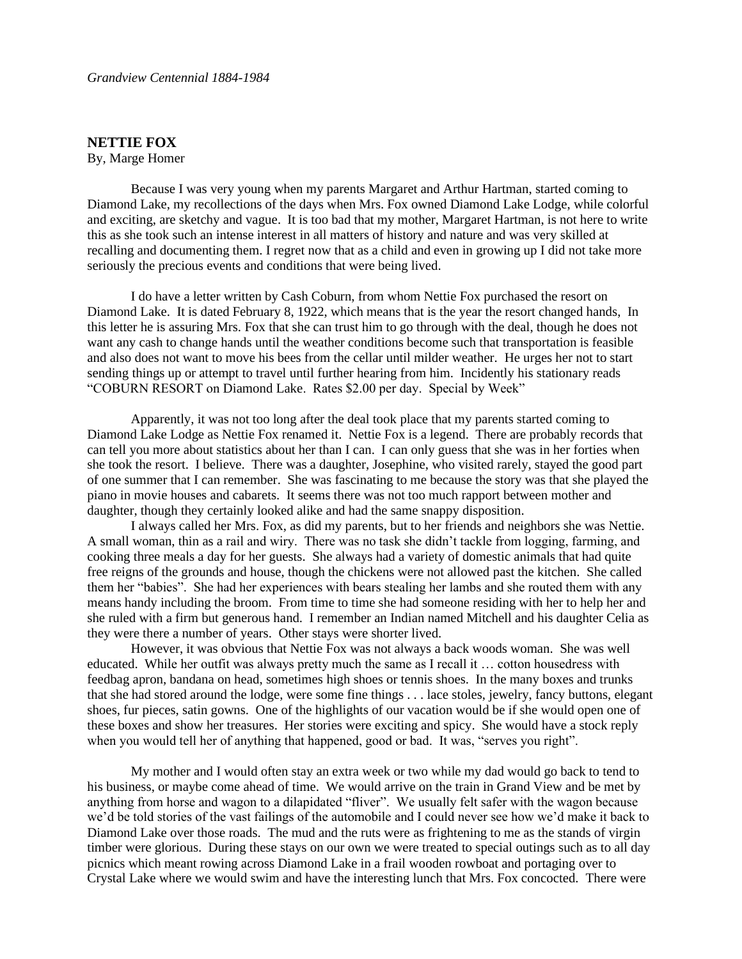## **NETTIE FOX**

By, Marge Homer

Because I was very young when my parents Margaret and Arthur Hartman, started coming to Diamond Lake, my recollections of the days when Mrs. Fox owned Diamond Lake Lodge, while colorful and exciting, are sketchy and vague. It is too bad that my mother, Margaret Hartman, is not here to write this as she took such an intense interest in all matters of history and nature and was very skilled at recalling and documenting them. I regret now that as a child and even in growing up I did not take more seriously the precious events and conditions that were being lived.

I do have a letter written by Cash Coburn, from whom Nettie Fox purchased the resort on Diamond Lake. It is dated February 8, 1922, which means that is the year the resort changed hands, In this letter he is assuring Mrs. Fox that she can trust him to go through with the deal, though he does not want any cash to change hands until the weather conditions become such that transportation is feasible and also does not want to move his bees from the cellar until milder weather. He urges her not to start sending things up or attempt to travel until further hearing from him. Incidently his stationary reads "COBURN RESORT on Diamond Lake. Rates \$2.00 per day. Special by Week"

Apparently, it was not too long after the deal took place that my parents started coming to Diamond Lake Lodge as Nettie Fox renamed it. Nettie Fox is a legend. There are probably records that can tell you more about statistics about her than I can. I can only guess that she was in her forties when she took the resort. I believe. There was a daughter, Josephine, who visited rarely, stayed the good part of one summer that I can remember. She was fascinating to me because the story was that she played the piano in movie houses and cabarets. It seems there was not too much rapport between mother and daughter, though they certainly looked alike and had the same snappy disposition.

I always called her Mrs. Fox, as did my parents, but to her friends and neighbors she was Nettie. A small woman, thin as a rail and wiry. There was no task she didn't tackle from logging, farming, and cooking three meals a day for her guests. She always had a variety of domestic animals that had quite free reigns of the grounds and house, though the chickens were not allowed past the kitchen. She called them her "babies". She had her experiences with bears stealing her lambs and she routed them with any means handy including the broom. From time to time she had someone residing with her to help her and she ruled with a firm but generous hand. I remember an Indian named Mitchell and his daughter Celia as they were there a number of years. Other stays were shorter lived.

However, it was obvious that Nettie Fox was not always a back woods woman. She was well educated. While her outfit was always pretty much the same as I recall it … cotton housedress with feedbag apron, bandana on head, sometimes high shoes or tennis shoes. In the many boxes and trunks that she had stored around the lodge, were some fine things . . . lace stoles, jewelry, fancy buttons, elegant shoes, fur pieces, satin gowns. One of the highlights of our vacation would be if she would open one of these boxes and show her treasures. Her stories were exciting and spicy. She would have a stock reply when you would tell her of anything that happened, good or bad. It was, "serves you right".

My mother and I would often stay an extra week or two while my dad would go back to tend to his business, or maybe come ahead of time. We would arrive on the train in Grand View and be met by anything from horse and wagon to a dilapidated "fliver". We usually felt safer with the wagon because we'd be told stories of the vast failings of the automobile and I could never see how we'd make it back to Diamond Lake over those roads. The mud and the ruts were as frightening to me as the stands of virgin timber were glorious. During these stays on our own we were treated to special outings such as to all day picnics which meant rowing across Diamond Lake in a frail wooden rowboat and portaging over to Crystal Lake where we would swim and have the interesting lunch that Mrs. Fox concocted. There were